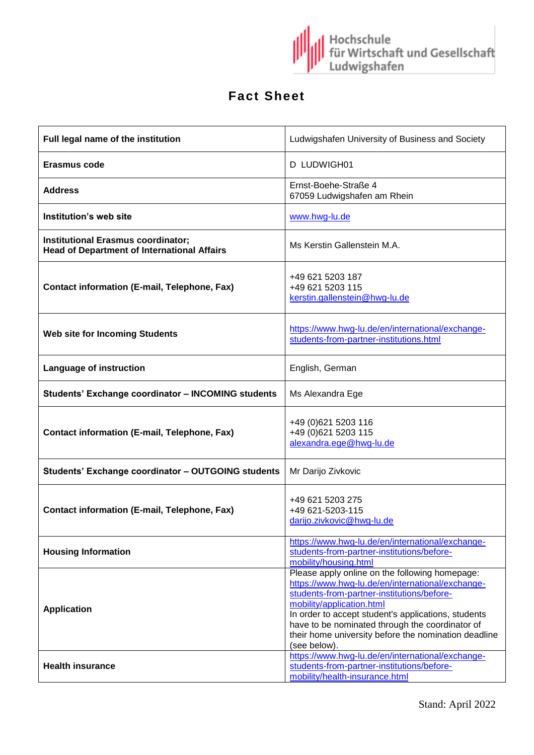

## **Fact Sheet**

| Full legal name of the institution                                                       | Ludwigshafen University of Business and Society                                                                                                                                                                                                                                                                                                                 |
|------------------------------------------------------------------------------------------|-----------------------------------------------------------------------------------------------------------------------------------------------------------------------------------------------------------------------------------------------------------------------------------------------------------------------------------------------------------------|
| Erasmus code                                                                             | D LUDWIGH01                                                                                                                                                                                                                                                                                                                                                     |
| <b>Address</b>                                                                           | Ernst-Boehe-Straße 4<br>67059 Ludwigshafen am Rhein                                                                                                                                                                                                                                                                                                             |
| Institution's web site                                                                   | www.hwg-lu.de                                                                                                                                                                                                                                                                                                                                                   |
| Institutional Erasmus coordinator;<br><b>Head of Department of International Affairs</b> | Ms Kerstin Gallenstein M.A.                                                                                                                                                                                                                                                                                                                                     |
| <b>Contact information (E-mail, Telephone, Fax)</b>                                      | +49 621 5203 187<br>+49 621 5203 115<br>kerstin.gallenstein@hwg-lu.de                                                                                                                                                                                                                                                                                           |
| Web site for Incoming Students                                                           | https://www.hwg-lu.de/en/international/exchange-<br>students-from-partner-institutions.html                                                                                                                                                                                                                                                                     |
| Language of instruction                                                                  | English, German                                                                                                                                                                                                                                                                                                                                                 |
| Students' Exchange coordinator - INCOMING students                                       | Ms Alexandra Ege                                                                                                                                                                                                                                                                                                                                                |
| <b>Contact information (E-mail, Telephone, Fax)</b>                                      | +49 (0) 621 5203 116<br>+49 (0) 621 5203 115<br>alexandra.ege@hwg-lu.de                                                                                                                                                                                                                                                                                         |
| Students' Exchange coordinator - OUTGOING students                                       | Mr Darijo Zivkovic                                                                                                                                                                                                                                                                                                                                              |
| <b>Contact information (E-mail, Telephone, Fax)</b>                                      | +49 621 5203 275<br>+49 621-5203-115<br>darijo.zivkovic@hwg-lu.de                                                                                                                                                                                                                                                                                               |
| <b>Housing Information</b>                                                               | https://www.hwg-lu.de/en/international/exchange-<br>students-from-partner-institutions/before-<br>mobility/housing.html                                                                                                                                                                                                                                         |
| <b>Application</b>                                                                       | Please apply online on the following homepage:<br>https://www.hwg-lu.de/en/international/exchange-<br>students-from-partner-institutions/before-<br>mobility/application.html<br>In order to accept student's applications, students<br>have to be nominated through the coordinator of<br>their home university before the nomination deadline<br>(see below). |
| <b>Health insurance</b>                                                                  | https://www.hwg-lu.de/en/international/exchange-<br>students-from-partner-institutions/before-<br>mobility/health-insurance.html                                                                                                                                                                                                                                |